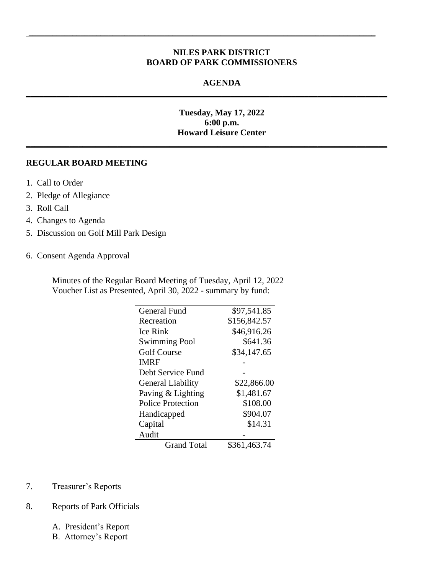# **NILES PARK DISTRICT BOARD OF PARK COMMISSIONERS**

 $\_$  ,  $\_$  ,  $\_$  ,  $\_$  ,  $\_$  ,  $\_$  ,  $\_$  ,  $\_$  ,  $\_$  ,  $\_$  ,  $\_$  ,  $\_$  ,  $\_$  ,  $\_$  ,  $\_$  ,  $\_$  ,  $\_$  ,  $\_$  ,  $\_$ 

**\_\_\_\_\_\_\_\_\_\_\_\_\_\_\_\_\_\_\_\_\_\_\_\_\_\_\_\_\_\_\_\_\_\_\_\_\_\_\_\_\_\_\_\_\_\_\_\_\_\_\_\_\_\_\_\_\_\_\_\_\_\_\_\_\_\_\_\_\_\_\_\_\_\_\_\_\_\_\_\_\_\_\_**

**\_\_\_\_\_\_\_\_\_\_\_\_\_\_\_\_\_\_\_\_\_\_\_\_\_\_\_\_\_\_\_\_\_\_\_\_\_\_\_\_\_\_\_\_\_\_\_\_\_\_\_\_\_\_\_\_\_\_\_\_\_\_\_\_\_\_\_\_\_\_\_\_\_\_\_\_\_\_\_\_\_\_\_**

### **AGENDA**

# **Tuesday, May 17, 2022 6:00 p.m. Howard Leisure Center**

#### **REGULAR BOARD MEETING**

- 1. Call to Order
- 2. Pledge of Allegiance
- 3. Roll Call
- 4. Changes to Agenda
- 5. Discussion on Golf Mill Park Design
- 6. Consent Agenda Approval

Minutes of the Regular Board Meeting of Tuesday, April 12, 2022 Voucher List as Presented, April 30, 2022 - summary by fund:

| General Fund             | \$97,541.85  |
|--------------------------|--------------|
| Recreation               | \$156,842.57 |
| Ice Rink                 | \$46,916.26  |
| <b>Swimming Pool</b>     | \$641.36     |
| <b>Golf Course</b>       | \$34,147.65  |
| IMRF                     |              |
| Debt Service Fund        |              |
| <b>General Liability</b> | \$22,866.00  |
| Paving & Lighting        | \$1,481.67   |
| <b>Police Protection</b> | \$108.00     |
| Handicapped              | \$904.07     |
| Capital                  | \$14.31      |
| Audit                    |              |
| <b>Grand Total</b>       | \$361,463.74 |

- 7. Treasurer's Reports
- 8. Reports of Park Officials
	- A. President's Report

 $\overline{\phantom{0}}$ 

B. Attorney's Report